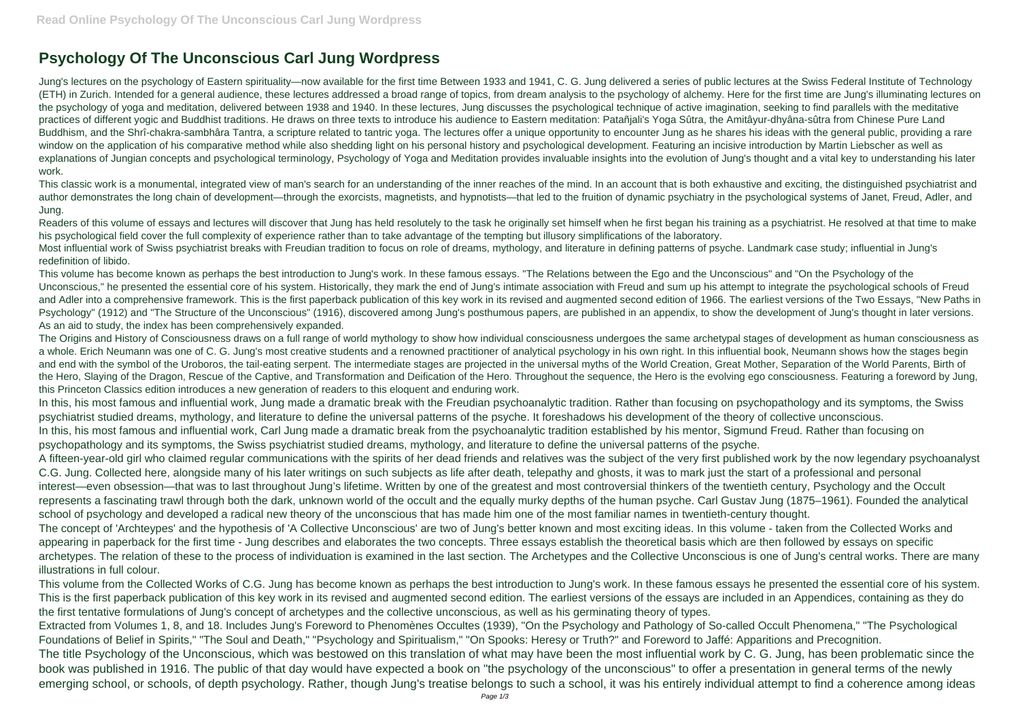## **Psychology Of The Unconscious Carl Jung Wordpress**

Jung's lectures on the psychology of Eastern spirituality—now available for the first time Between 1933 and 1941, C. G. Jung delivered a series of public lectures at the Swiss Federal Institute of Technology (ETH) in Zurich. Intended for a general audience, these lectures addressed a broad range of topics, from dream analysis to the psychology of alchemy. Here for the first time are Jung's illuminating lectures on the psychology of yoga and meditation, delivered between 1938 and 1940. In these lectures, Jung discusses the psychological technique of active imagination, seeking to find parallels with the meditative practices of different yogic and Buddhist traditions. He draws on three texts to introduce his audience to Eastern meditation: Patañjali's Yoga Sûtra, the Amitâyur-dhyâna-sûtra from Chinese Pure Land Buddhism, and the Shrî-chakra-sambhâra Tantra, a scripture related to tantric yoga. The lectures offer a unique opportunity to encounter Jung as he shares his ideas with the general public, providing a rare window on the application of his comparative method while also shedding light on his personal history and psychological development. Featuring an incisive introduction by Martin Liebscher as well as explanations of Jungian concepts and psychological terminology, Psychology of Yoga and Meditation provides invaluable insights into the evolution of Jung's thought and a vital key to understanding his later work.

Readers of this volume of essays and lectures will discover that Jung has held resolutely to the task he originally set himself when he first began his training as a psychiatrist. He resolved at that time to make his psychological field cover the full complexity of experience rather than to take advantage of the tempting but illusory simplifications of the laboratory.

This classic work is a monumental, integrated view of man's search for an understanding of the inner reaches of the mind. In an account that is both exhaustive and exciting, the distinguished psychiatrist and author demonstrates the long chain of development—through the exorcists, magnetists, and hypnotists—that led to the fruition of dynamic psychiatry in the psychological systems of Janet, Freud, Adler, and Jung.

Most influential work of Swiss psychiatrist breaks with Freudian tradition to focus on role of dreams, mythology, and literature in defining patterns of psyche. Landmark case study; influential in Jung's redefinition of libido.

This volume has become known as perhaps the best introduction to Jung's work. In these famous essays. "The Relations between the Ego and the Unconscious" and "On the Psychology of the Unconscious," he presented the essential core of his system. Historically, they mark the end of Jung's intimate association with Freud and sum up his attempt to integrate the psychological schools of Freud and Adler into a comprehensive framework. This is the first paperback publication of this key work in its revised and augmented second edition of 1966. The earliest versions of the Two Essays, "New Paths in Psychology" (1912) and "The Structure of the Unconscious" (1916), discovered among Jung's posthumous papers, are published in an appendix, to show the development of Jung's thought in later versions. As an aid to study, the index has been comprehensively expanded.

The Origins and History of Consciousness draws on a full range of world mythology to show how individual consciousness undergoes the same archetypal stages of development as human consciousness as a whole. Erich Neumann was one of C. G. Jung's most creative students and a renowned practitioner of analytical psychology in his own right. In this influential book, Neumann shows how the stages begin and end with the symbol of the Uroboros, the tail-eating serpent. The intermediate stages are projected in the universal myths of the World Creation, Great Mother, Separation of the World Parents, Birth of the Hero, Slaying of the Dragon, Rescue of the Captive, and Transformation and Deification of the Hero. Throughout the sequence, the Hero is the evolving ego consciousness. Featuring a foreword by Jung, this Princeton Classics edition introduces a new generation of readers to this eloquent and enduring work.

In this, his most famous and influential work, Jung made a dramatic break with the Freudian psychoanalytic tradition. Rather than focusing on psychopathology and its symptoms, the Swiss psychiatrist studied dreams, mythology, and literature to define the universal patterns of the psyche. It foreshadows his development of the theory of collective unconscious. In this, his most famous and influential work, Carl Jung made a dramatic break from the psychoanalytic tradition established by his mentor, Sigmund Freud. Rather than focusing on psychopathology and its symptoms, the Swiss psychiatrist studied dreams, mythology, and literature to define the universal patterns of the psyche.

A fifteen-year-old girl who claimed regular communications with the spirits of her dead friends and relatives was the subject of the very first published work by the now legendary psychoanalyst C.G. Jung. Collected here, alongside many of his later writings on such subjects as life after death, telepathy and ghosts, it was to mark just the start of a professional and personal interest—even obsession—that was to last throughout Jung's lifetime. Written by one of the greatest and most controversial thinkers of the twentieth century, Psychology and the Occult represents a fascinating trawl through both the dark, unknown world of the occult and the equally murky depths of the human psyche. Carl Gustav Jung (1875–1961). Founded the analytical school of psychology and developed a radical new theory of the unconscious that has made him one of the most familiar names in twentieth-century thought. The concept of 'Archteypes' and the hypothesis of 'A Collective Unconscious' are two of Jung's better known and most exciting ideas. In this volume - taken from the Collected Works and appearing in paperback for the first time - Jung describes and elaborates the two concepts. Three essays establish the theoretical basis which are then followed by essays on specific archetypes. The relation of these to the process of individuation is examined in the last section. The Archetypes and the Collective Unconscious is one of Jung's central works. There are many illustrations in full colour.

This volume from the Collected Works of C.G. Jung has become known as perhaps the best introduction to Jung's work. In these famous essays he presented the essential core of his system. This is the first paperback publication of this key work in its revised and augmented second edition. The earliest versions of the essays are included in an Appendices, containing as they do the first tentative formulations of Jung's concept of archetypes and the collective unconscious, as well as his germinating theory of types.

Extracted from Volumes 1, 8, and 18. Includes Jung's Foreword to Phenomènes Occultes (1939), "On the Psychology and Pathology of So-called Occult Phenomena," "The Psychological Foundations of Belief in Spirits," "The Soul and Death," "Psychology and Spiritualism," "On Spooks: Heresy or Truth?" and Foreword to Jaffé: Apparitions and Precognition. The title Psychology of the Unconscious, which was bestowed on this translation of what may have been the most influential work by C. G. Jung, has been problematic since the book was published in 1916. The public of that day would have expected a book on "the psychology of the unconscious" to offer a presentation in general terms of the newly emerging school, or schools, of depth psychology. Rather, though Jung's treatise belongs to such a school, it was his entirely individual attempt to find a coherence among ideas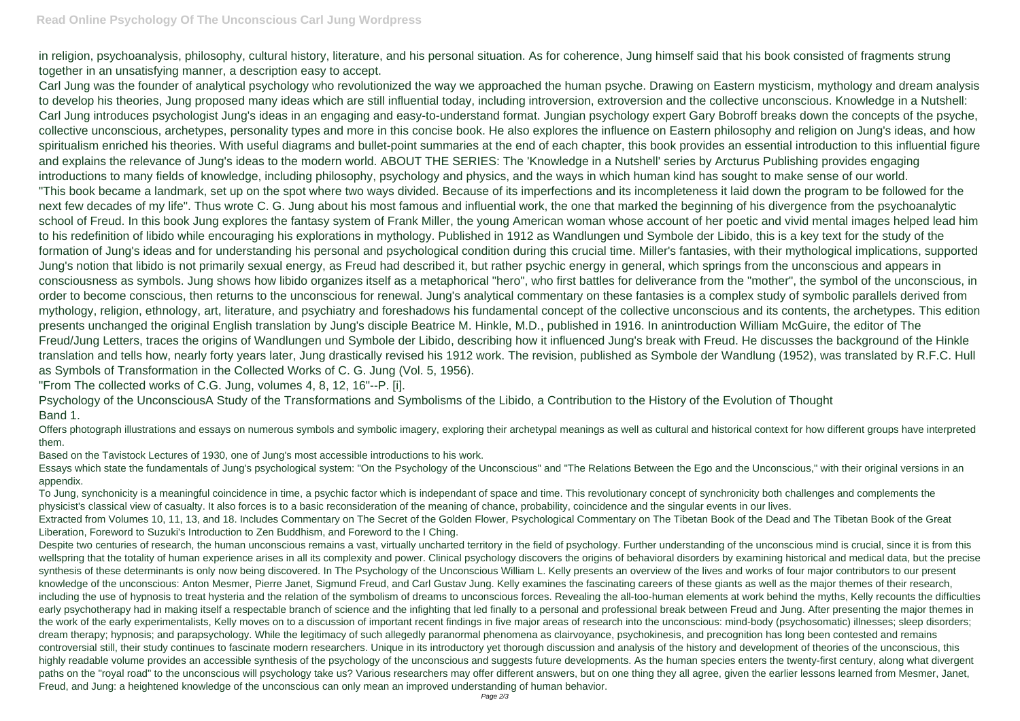in religion, psychoanalysis, philosophy, cultural history, literature, and his personal situation. As for coherence, Jung himself said that his book consisted of fragments strung together in an unsatisfying manner, a description easy to accept.

Carl Jung was the founder of analytical psychology who revolutionized the way we approached the human psyche. Drawing on Eastern mysticism, mythology and dream analysis to develop his theories, Jung proposed many ideas which are still influential today, including introversion, extroversion and the collective unconscious. Knowledge in a Nutshell: Carl Jung introduces psychologist Jung's ideas in an engaging and easy-to-understand format. Jungian psychology expert Gary Bobroff breaks down the concepts of the psyche, collective unconscious, archetypes, personality types and more in this concise book. He also explores the influence on Eastern philosophy and religion on Jung's ideas, and how spiritualism enriched his theories. With useful diagrams and bullet-point summaries at the end of each chapter, this book provides an essential introduction to this influential figure and explains the relevance of Jung's ideas to the modern world. ABOUT THE SERIES: The 'Knowledge in a Nutshell' series by Arcturus Publishing provides engaging introductions to many fields of knowledge, including philosophy, psychology and physics, and the ways in which human kind has sought to make sense of our world. "This book became a landmark, set up on the spot where two ways divided. Because of its imperfections and its incompleteness it laid down the program to be followed for the next few decades of my life". Thus wrote C. G. Jung about his most famous and influential work, the one that marked the beginning of his divergence from the psychoanalytic school of Freud. In this book Jung explores the fantasy system of Frank Miller, the young American woman whose account of her poetic and vivid mental images helped lead him to his redefinition of libido while encouraging his explorations in mythology. Published in 1912 as Wandlungen und Symbole der Libido, this is a key text for the study of the formation of Jung's ideas and for understanding his personal and psychological condition during this crucial time. Miller's fantasies, with their mythological implications, supported Jung's notion that libido is not primarily sexual energy, as Freud had described it, but rather psychic energy in general, which springs from the unconscious and appears in consciousness as symbols. Jung shows how libido organizes itself as a metaphorical "hero", who first battles for deliverance from the "mother", the symbol of the unconscious, in order to become conscious, then returns to the unconscious for renewal. Jung's analytical commentary on these fantasies is a complex study of symbolic parallels derived from mythology, religion, ethnology, art, literature, and psychiatry and foreshadows his fundamental concept of the collective unconscious and its contents, the archetypes. This edition presents unchanged the original English translation by Jung's disciple Beatrice M. Hinkle, M.D., published in 1916. In anintroduction William McGuire, the editor of The Freud/Jung Letters, traces the origins of Wandlungen und Symbole der Libido, describing how it influenced Jung's break with Freud. He discusses the background of the Hinkle translation and tells how, nearly forty years later, Jung drastically revised his 1912 work. The revision, published as Symbole der Wandlung (1952), was translated by R.F.C. Hull as Symbols of Transformation in the Collected Works of C. G. Jung (Vol. 5, 1956).

"From The collected works of C.G. Jung, volumes 4, 8, 12, 16"--P. [i].

Despite two centuries of research, the human unconscious remains a vast, virtually uncharted territory in the field of psychology. Further understanding of the unconscious mind is crucial, since it is from this wellspring that the totality of human experience arises in all its complexity and power. Clinical psychology discovers the origins of behavioral disorders by examining historical and medical data, but the precise synthesis of these determinants is only now being discovered. In The Psychology of the Unconscious William L. Kelly presents an overview of the lives and works of four major contributors to our present knowledge of the unconscious: Anton Mesmer, Pierre Janet, Sigmund Freud, and Carl Gustav Jung. Kelly examines the fascinating careers of these giants as well as the major themes of their research, including the use of hypnosis to treat hysteria and the relation of the symbolism of dreams to unconscious forces. Revealing the all-too-human elements at work behind the myths, Kelly recounts the difficulties early psychotherapy had in making itself a respectable branch of science and the infighting that led finally to a personal and professional break between Freud and Jung. After presenting the major themes in the work of the early experimentalists, Kelly moves on to a discussion of important recent findings in five major areas of research into the unconscious: mind-body (psychosomatic) illnesses; sleep disorders; dream therapy; hypnosis; and parapsychology. While the legitimacy of such allegedly paranormal phenomena as clairvoyance, psychokinesis, and precognition has long been contested and remains controversial still, their study continues to fascinate modern researchers. Unique in its introductory yet thorough discussion and analysis of the history and development of theories of the unconscious, this highly readable volume provides an accessible synthesis of the psychology of the unconscious and suggests future developments. As the human species enters the twenty-first century, along what divergent paths on the "royal road" to the unconscious will psychology take us? Various researchers may offer different answers, but on one thing they all agree, given the earlier lessons learned from Mesmer, Janet, Freud, and Jung: a heightened knowledge of the unconscious can only mean an improved understanding of human behavior.

Psychology of the UnconsciousA Study of the Transformations and Symbolisms of the Libido, a Contribution to the History of the Evolution of Thought Band 1.

Offers photograph illustrations and essays on numerous symbols and symbolic imagery, exploring their archetypal meanings as well as cultural and historical context for how different groups have interpreted them.

Based on the Tavistock Lectures of 1930, one of Jung's most accessible introductions to his work.

Essays which state the fundamentals of Jung's psychological system: "On the Psychology of the Unconscious" and "The Relations Between the Ego and the Unconscious," with their original versions in an appendix.

To Jung, synchonicity is a meaningful coincidence in time, a psychic factor which is independant of space and time. This revolutionary concept of synchronicity both challenges and complements the physicist's classical view of casualty. It also forces is to a basic reconsideration of the meaning of chance, probability, coincidence and the singular events in our lives. Extracted from Volumes 10, 11, 13, and 18. Includes Commentary on The Secret of the Golden Flower, Psychological Commentary on The Tibetan Book of the Dead and The Tibetan Book of the Great Liberation, Foreword to Suzuki's Introduction to Zen Buddhism, and Foreword to the I Ching.

- 
-